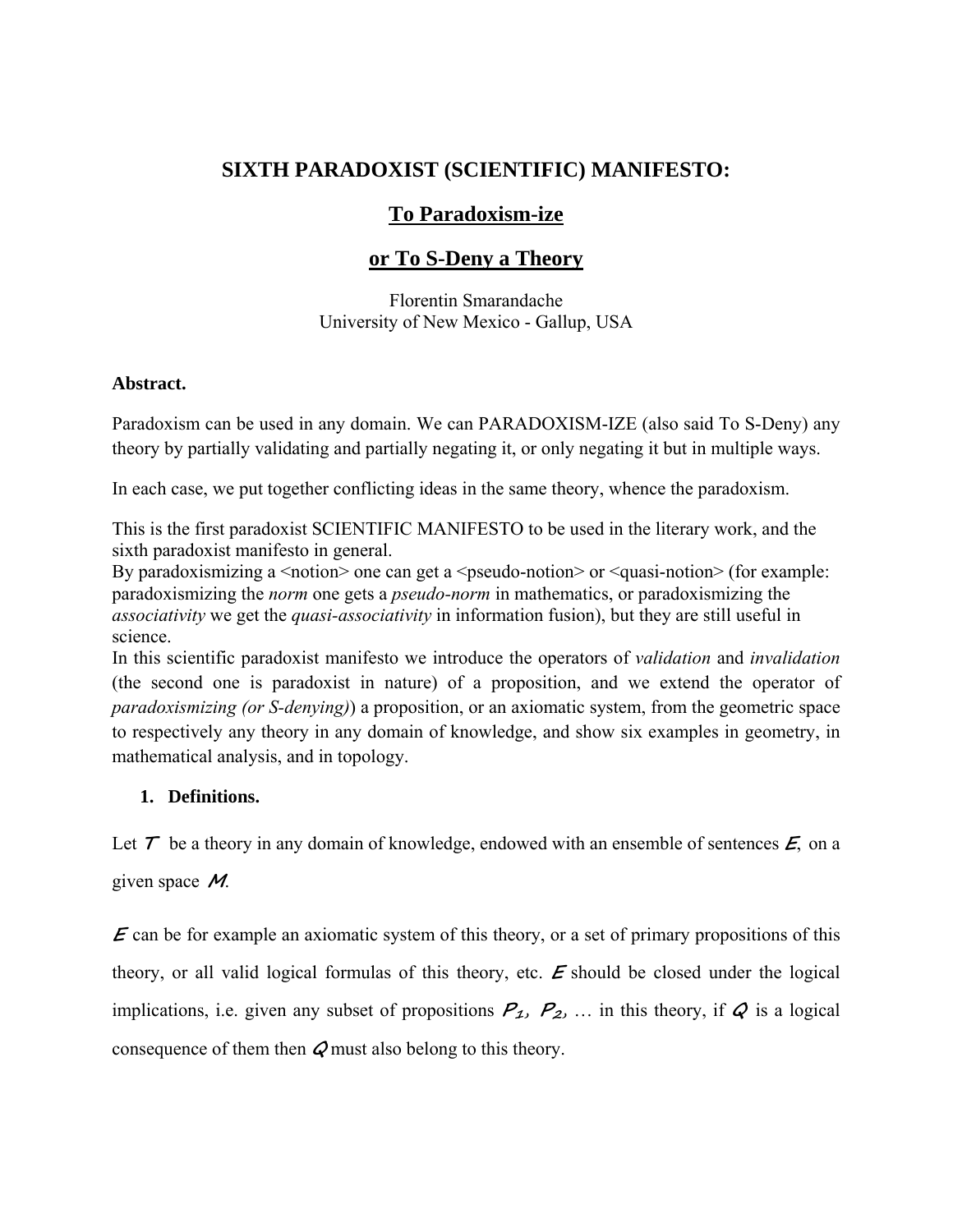# **SIXTH PARADOXIST (SCIENTIFIC) MANIFESTO:**

## **To Paradoxism-ize**

## **or To S-Deny a Theory**

Florentin Smarandache University of New Mexico - Gallup, USA

### **Abstract.**

Paradoxism can be used in any domain. We can PARADOXISM-IZE (also said To S-Deny) any theory by partially validating and partially negating it, or only negating it but in multiple ways.

In each case, we put together conflicting ideas in the same theory, whence the paradoxism.

This is the first paradoxist SCIENTIFIC MANIFESTO to be used in the literary work, and the sixth paradoxist manifesto in general.

By paradoxismizing a  $\leq$ notion $\geq$  one can get a  $\leq$ pseudo-notion $\geq$  or  $\leq$ quasi-notion $\geq$  (for example: paradoxismizing the *norm* one gets a *pseudo-norm* in mathematics, or paradoxismizing the *associativity* we get the *quasi-associativity* in information fusion), but they are still useful in science.

In this scientific paradoxist manifesto we introduce the operators of *validation* and *invalidation* (the second one is paradoxist in nature) of a proposition, and we extend the operator of *paradoxismizing (or S-denying)*) a proposition, or an axiomatic system, from the geometric space to respectively any theory in any domain of knowledge, and show six examples in geometry, in mathematical analysis, and in topology.

### **1. Definitions.**

Let  $\tau$  be a theory in any domain of knowledge, endowed with an ensemble of sentences  $\epsilon$ , on a

given space **M**.

**E** can be for example an axiomatic system of this theory, or a set of primary propositions of this theory, or all valid logical formulas of this theory, etc. **E** should be closed under the logical implications, i.e. given any subset of propositions  $P_1$ ,  $P_2$ , ... in this theory, if  $Q$  is a logical consequence of them then **Q** must also belong to this theory.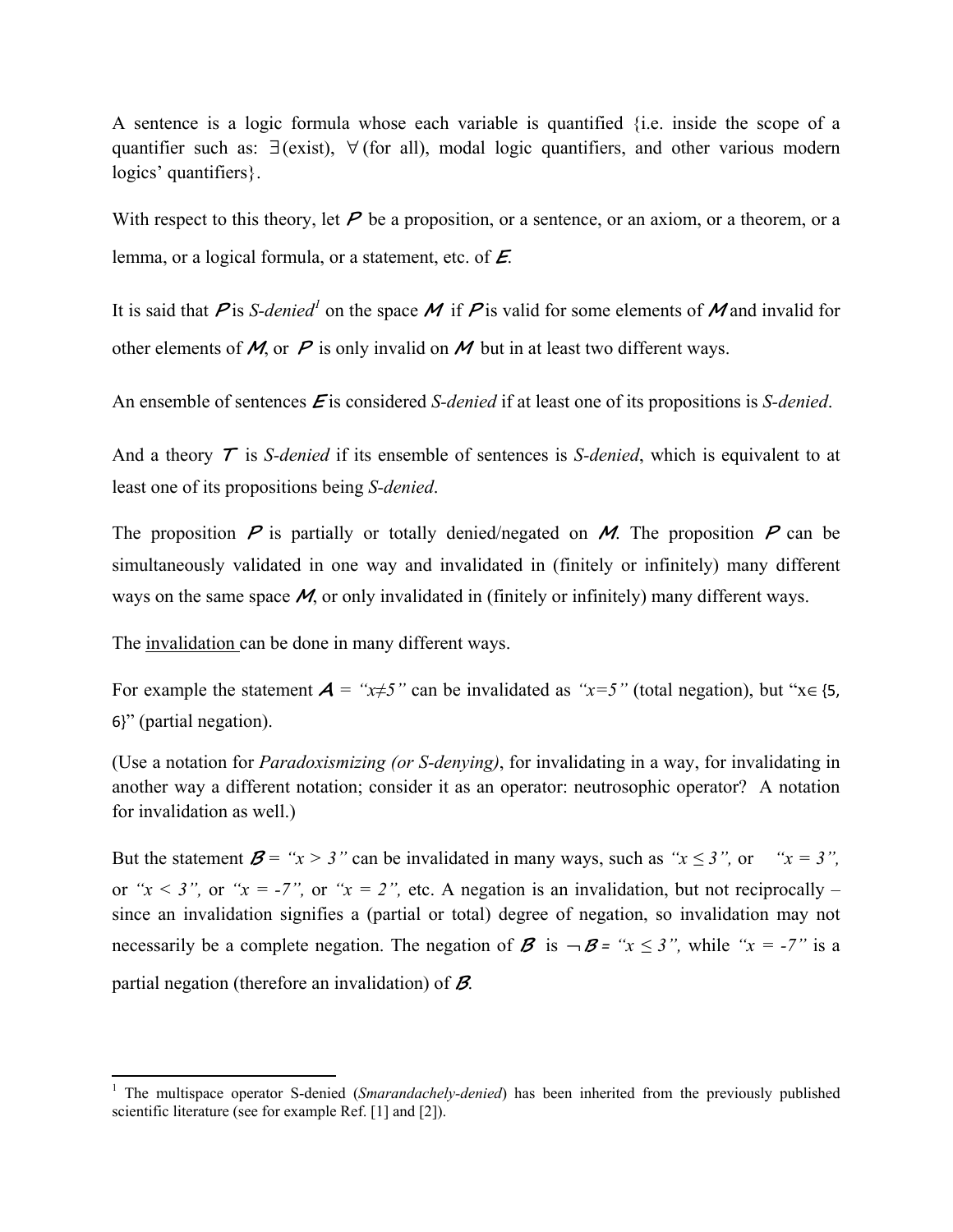A sentence is a logic formula whose each variable is quantified {i.e. inside the scope of a quantifier such as: ∃(exist), ∀ (for all), modal logic quantifiers, and other various modern logics' quantifiers }.

With respect to this theory, let  $P$  be a proposition, or a sentence, or an axiom, or a theorem, or a lemma, or a logical formula, or a statement, etc. of **E**.

It is said that  $P$  is *S-denied*<sup>1</sup> on the space M if P is valid for some elements of M and invalid for other elements of  $M$ , or  $P$  is only invalid on  $M$  but in at least two different ways.

An ensemble of sentences **E** is considered *S-denied* if at least one of its propositions is *S-denied*.

And a theory **T** is *S-denied* if its ensemble of sentences is *S-denied*, which is equivalent to at least one of its propositions being *S-denied*.

The proposition  $P$  is partially or totally denied/negated on  $M$ . The proposition  $P$  can be simultaneously validated in one way and invalidated in (finitely or infinitely) many different ways on the same space M, or only invalidated in (finitely or infinitely) many different ways.

The invalidation can be done in many different ways.

 $\overline{a}$ 

For example the statement  $A = "x \neq 5"$  can be invalidated as " $x = 5"$  (total negation), but " $x \in \{5, 6\}$ 6}" (partial negation).

(Use a notation for *Paradoxismizing (or S-denying)*, for invalidating in a way, for invalidating in another way a different notation; consider it as an operator: neutrosophic operator? A notation for invalidation as well.)

But the statement  $\mathbf{B} = "x > 3"$  can be invalidated in many ways, such as " $x \leq 3"$ , or  $x = 3"$ , or *"x < 3"*, or *"x = -7"*, or *"x = 2"*, etc. A negation is an invalidation, but not reciprocally – since an invalidation signifies a (partial or total) degree of negation, so invalidation may not necessarily be a complete negation. The negation of **B** is  $-\mathbf{B} =$  " $x \le 3$ ", while " $x = -7$ " is a partial negation (therefore an invalidation) of **B**.

<sup>&</sup>lt;sup>1</sup> The multispace operator S-denied (*Smarandachely-denied*) has been inherited from the previously published scientific literature (see for example Ref. [1] and [2]).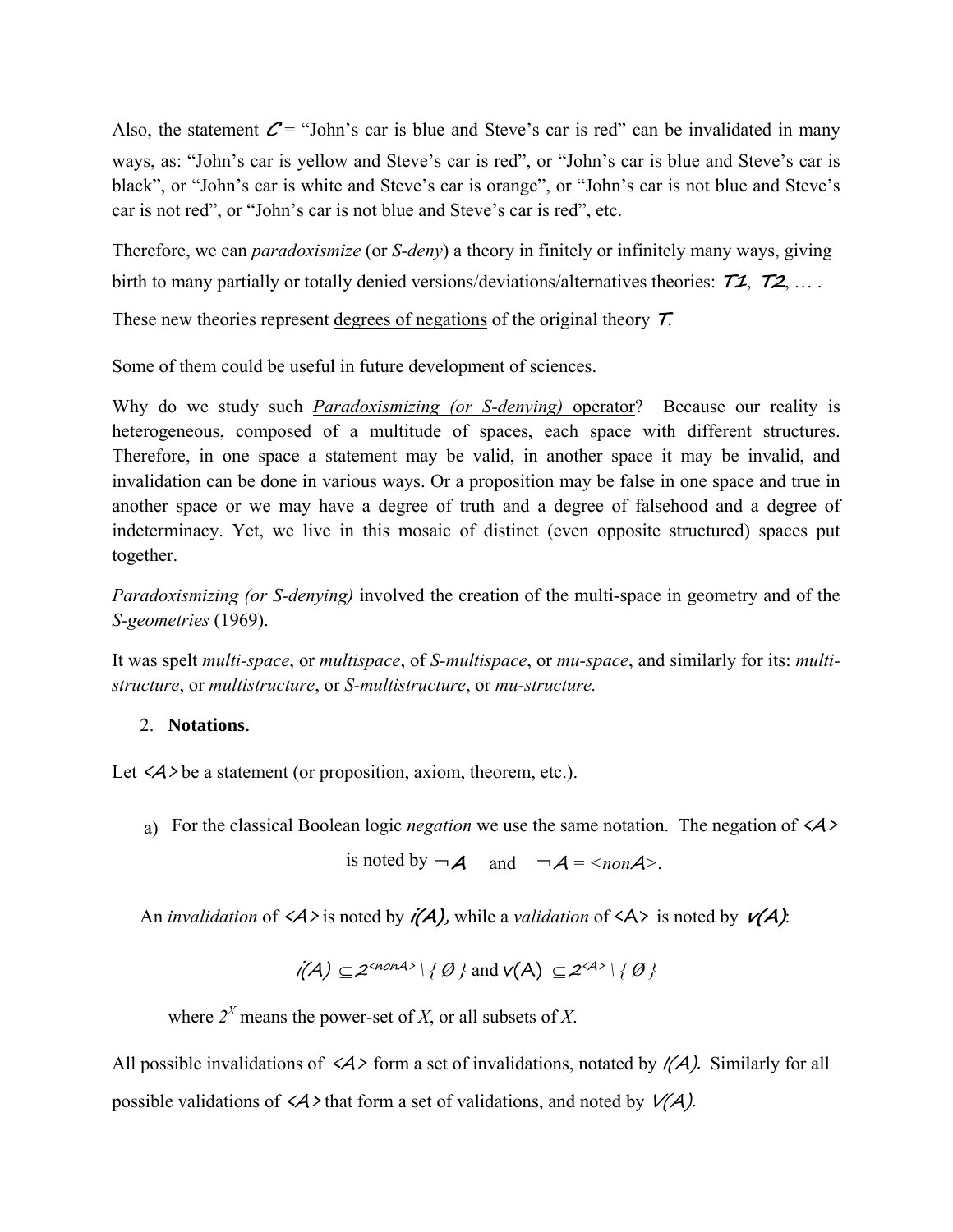Also, the statement  $C =$  "John's car is blue and Steve's car is red" can be invalidated in many ways, as: "John's car is yellow and Steve's car is red", or "John's car is blue and Steve's car is black", or "John's car is white and Steve's car is orange", or "John's car is not blue and Steve's car is not red", or "John's car is not blue and Steve's car is red", etc.

Therefore, we can *paradoxismize* (or *S-deny*) a theory in finitely or infinitely many ways, giving birth to many partially or totally denied versions/deviations/alternatives theories: **T1**, **T2**, … .

These new theories represent degrees of negations of the original theory **T**.

Some of them could be useful in future development of sciences.

Why do we study such *Paradoxismizing (or S-denying)* operator? Because our reality is heterogeneous, composed of a multitude of spaces, each space with different structures. Therefore, in one space a statement may be valid, in another space it may be invalid, and invalidation can be done in various ways. Or a proposition may be false in one space and true in another space or we may have a degree of truth and a degree of falsehood and a degree of indeterminacy. Yet, we live in this mosaic of distinct (even opposite structured) spaces put together.

*Paradoxismizing (or S-denying)* involved the creation of the multi-space in geometry and of the *S-geometries* (1969).

It was spelt *multi-space*, or *multispace*, of *S-multispace*, or *mu-space*, and similarly for its: *multistructure*, or *multistructure*, or *S-multistructure*, or *mu-structure.* 

### 2. **Notations.**

Let  $\langle A \rangle$  be a statement (or proposition, axiom, theorem, etc.).

a) For the classical Boolean logic *negation* we use the same notation. The negation of <A>

is noted by  $\neg A$  and  $\neg A = \langle nonA \rangle$ .

An *invalidation* of  $\langle A \rangle$  is noted by  $\mathbf{i}(\mathbf{A})$ , while a *validation* of  $\langle A \rangle$  is noted by  $\mathbf{v}(\mathbf{A})$ :

$$
i(A) \subseteq 2^{} \setminus \{ \emptyset \} \text{ and } v(A) \subseteq 2^{} \setminus \{ \emptyset \}
$$

where  $2^X$  means the power-set of *X*, or all subsets of *X*.

All possible invalidations of  $\langle A \rangle$  form a set of invalidations, notated by  $\langle A \rangle$ . Similarly for all possible validations of  $\langle A \rangle$  that form a set of validations, and noted by  $V(A)$ .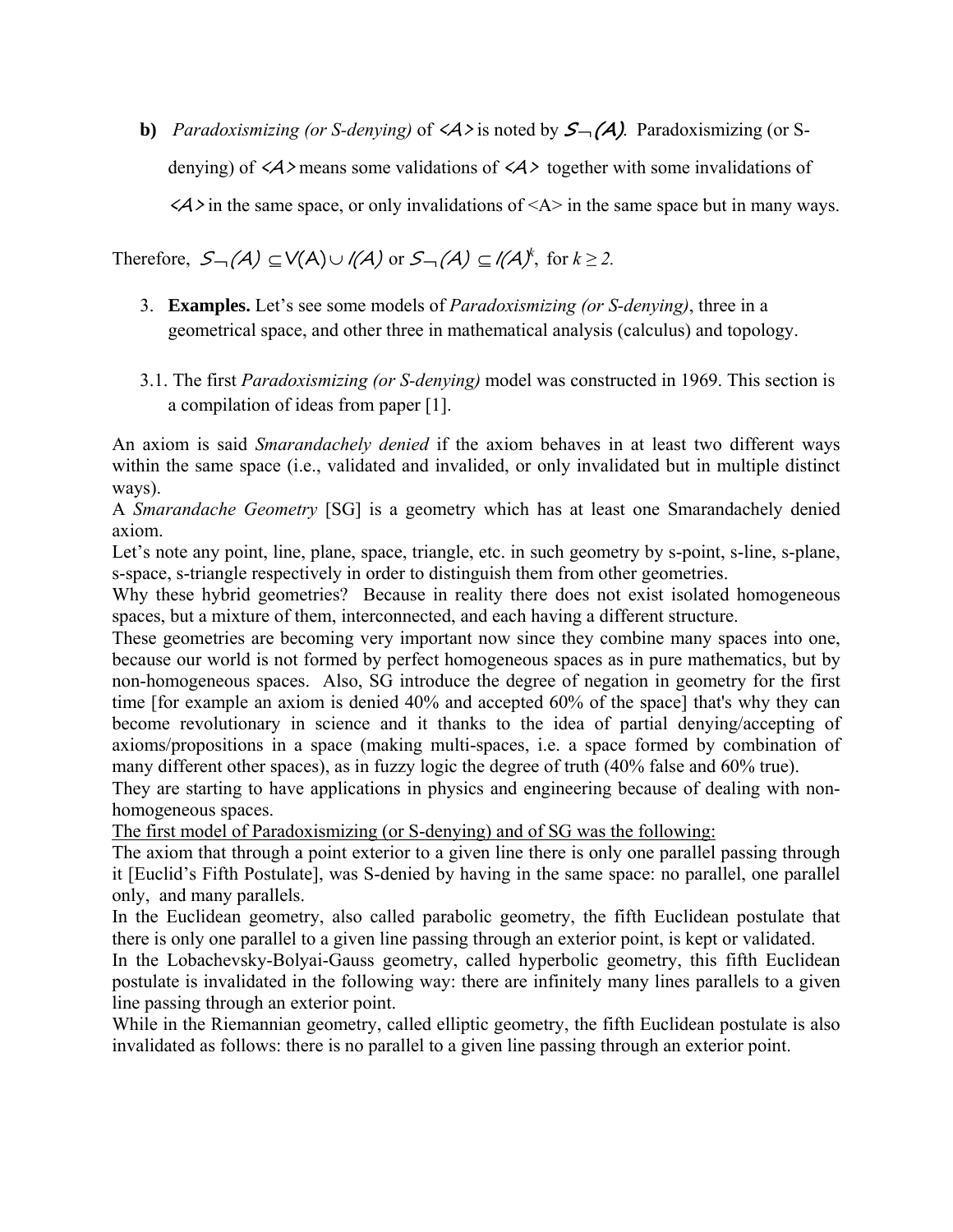**b**) *Paradoxismizing (or S-denying)* of  $\langle A \rangle$  is noted by  $S_{\neg}(\overline{A})$ . Paradoxismizing (or Sdenying) of  $\langle A \rangle$  means some validations of  $\langle A \rangle$  together with some invalidations of  $\langle A \rangle$  in the same space, or only invalidations of  $\langle A \rangle$  in the same space but in many ways.

Therefore,  $S_{\neg}(\mathcal{A}) \subseteq V(\mathcal{A}) \cup I(\mathcal{A})$  or  $S_{\neg}(\mathcal{A}) \subseteq I(\mathcal{A})^k$ , for  $k \geq 2$ .

- 3. **Examples.** Let's see some models of *Paradoxismizing (or S-denying)*, three in a geometrical space, and other three in mathematical analysis (calculus) and topology.
- 3.1. The first *Paradoxismizing (or S-denying)* model was constructed in 1969. This section is a compilation of ideas from paper [1].

An axiom is said *Smarandachely denied* if the axiom behaves in at least two different ways within the same space (i.e., validated and invalided, or only invalidated but in multiple distinct ways).

A *Smarandache Geometry* [SG] is a geometry which has at least one Smarandachely denied axiom.

Let's note any point, line, plane, space, triangle, etc. in such geometry by s-point, s-line, s-plane, s-space, s-triangle respectively in order to distinguish them from other geometries.

Why these hybrid geometries? Because in reality there does not exist isolated homogeneous spaces, but a mixture of them, interconnected, and each having a different structure.

These geometries are becoming very important now since they combine many spaces into one, because our world is not formed by perfect homogeneous spaces as in pure mathematics, but by non-homogeneous spaces. Also, SG introduce the degree of negation in geometry for the first time [for example an axiom is denied 40% and accepted 60% of the space] that's why they can become revolutionary in science and it thanks to the idea of partial denying/accepting of axioms/propositions in a space (making multi-spaces, i.e. a space formed by combination of many different other spaces), as in fuzzy logic the degree of truth (40% false and 60% true).

They are starting to have applications in physics and engineering because of dealing with nonhomogeneous spaces.

The first model of Paradoxismizing (or S-denying) and of SG was the following:

The axiom that through a point exterior to a given line there is only one parallel passing through it [Euclid's Fifth Postulate], was S-denied by having in the same space: no parallel, one parallel only, and many parallels.

In the Euclidean geometry, also called parabolic geometry, the fifth Euclidean postulate that there is only one parallel to a given line passing through an exterior point, is kept or validated.

In the Lobachevsky-Bolyai-Gauss geometry, called hyperbolic geometry, this fifth Euclidean postulate is invalidated in the following way: there are infinitely many lines parallels to a given line passing through an exterior point.

While in the Riemannian geometry, called elliptic geometry, the fifth Euclidean postulate is also invalidated as follows: there is no parallel to a given line passing through an exterior point.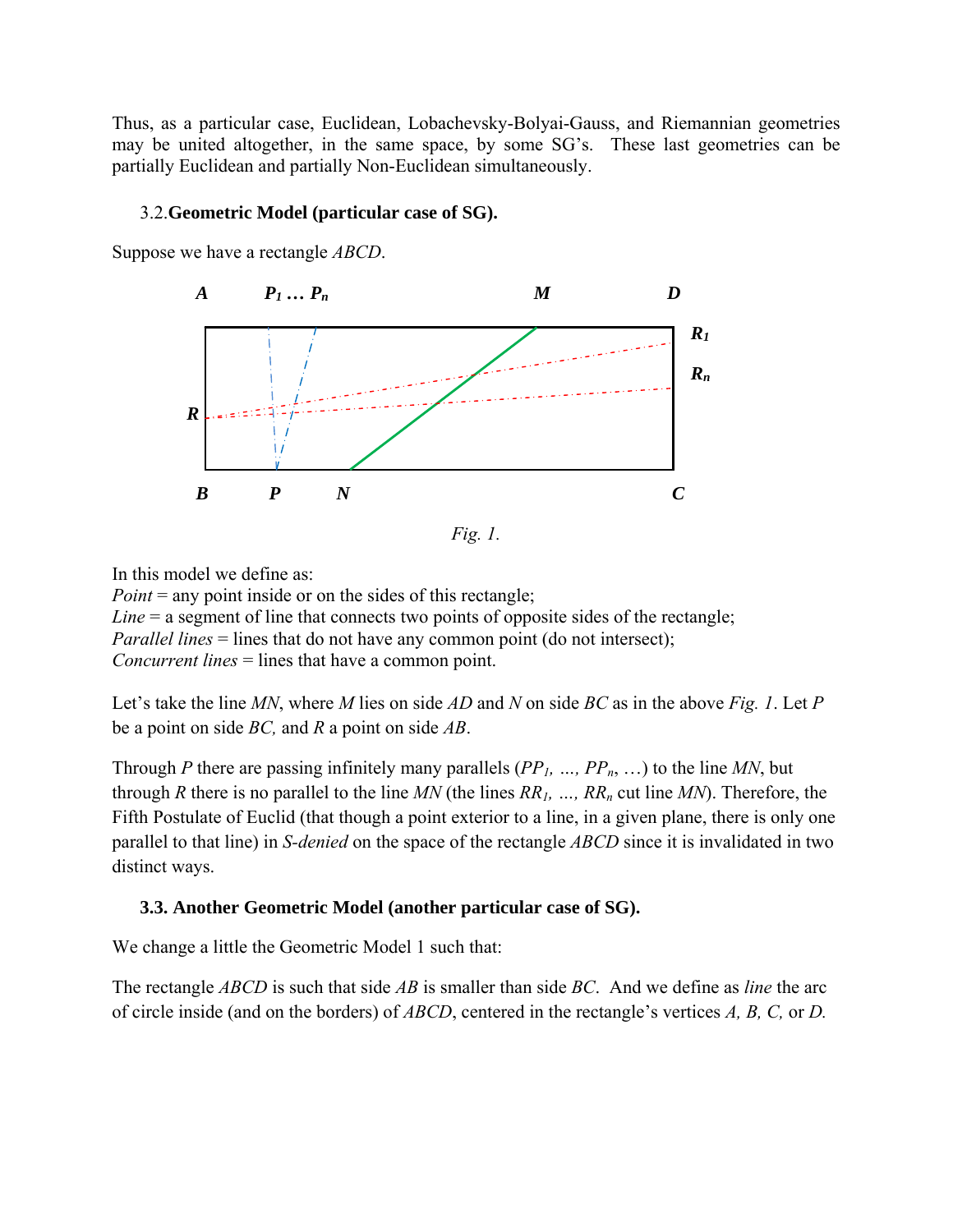Thus, as a particular case, Euclidean, Lobachevsky-Bolyai-Gauss, and Riemannian geometries may be united altogether, in the same space, by some SG's. These last geometries can be partially Euclidean and partially Non-Euclidean simultaneously.

#### 3.2.**Geometric Model (particular case of SG).**

Suppose we have a rectangle *ABCD*.



*Fig. 1.* 

In this model we define as:

*Point* = any point inside or on the sides of this rectangle; *Line* = a segment of line that connects two points of opposite sides of the rectangle; *Parallel lines* = lines that do not have any common point (do not intersect); *Concurrent lines* = lines that have a common point.

Let's take the line *MN*, where *M* lies on side *AD* and *N* on side *BC* as in the above *Fig. 1*. Let *P*  be a point on side *BC,* and *R* a point on side *AB*.

Through *P* there are passing infinitely many parallels (*PP1, …, PPn*, …) to the line *MN*, but through *R* there is no parallel to the line *MN* (the lines  $RR_1$ , ...,  $RR_n$  cut line *MN*). Therefore, the Fifth Postulate of Euclid (that though a point exterior to a line, in a given plane, there is only one parallel to that line) in *S-denied* on the space of the rectangle *ABCD* since it is invalidated in two distinct ways.

### **3.3. Another Geometric Model (another particular case of SG).**

We change a little the Geometric Model 1 such that:

The rectangle *ABCD* is such that side *AB* is smaller than side *BC*. And we define as *line* the arc of circle inside (and on the borders) of *ABCD*, centered in the rectangle's vertices *A, B, C,* or *D.*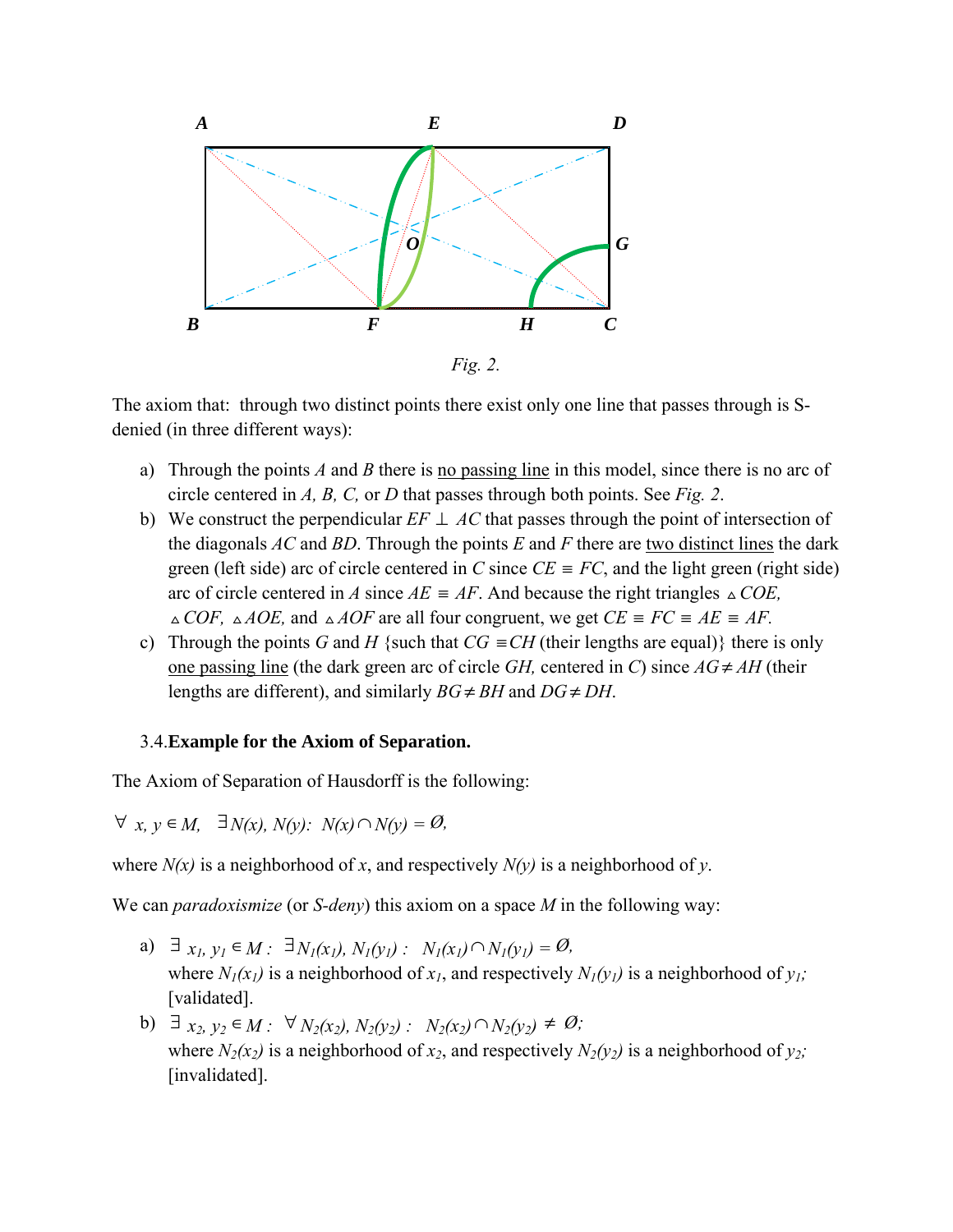

The axiom that: through two distinct points there exist only one line that passes through is Sdenied (in three different ways):

- a) Through the points *A* and *B* there is no passing line in this model, since there is no arc of circle centered in *A, B, C,* or *D* that passes through both points. See *Fig. 2*.
- b) We construct the perpendicular  $EF \perp AC$  that passes through the point of intersection of the diagonals *AC* and *BD*. Through the points *E* and *F* there are two distinct lines the dark green (left side) arc of circle centered in *C* since  $CE \equiv FC$ , and the light green (right side) arc of circle centered in *A* since  $AE = AF$ . And because the right triangles  $\triangle COE$ ,  $\triangle COF$ ,  $\triangle AOE$ , and  $\triangle AOF$  are all four congruent, we get  $CE \equiv FC \equiv AE \equiv AF$ .
- c) Through the points *G* and *H* {such that  $CG \equiv CH$  (their lengths are equal)} there is only one passing line (the dark green arc of circle *GH*, centered in *C*) since  $AG \neq AH$  (their lengths are different), and similarly  $BG \neq BH$  and  $DG \neq DH$ .

#### 3.4.**Example for the Axiom of Separation.**

The Axiom of Separation of Hausdorff is the following:

∀ *x, y* ∈*M,* ∃*N(x), N(y): N(x)*∩ *N(y) = Ø,* 

where  $N(x)$  is a neighborhood of x, and respectively  $N(y)$  is a neighborhood of y.

We can *paradoxismize* (or *S-deny*) this axiom on a space *M* in the following way:

- a)  $\exists x_1, y_1 \in M : \exists N_1(x_1), N_1(y_1) : N_1(x_1) \cap N_1(y_1) = \emptyset$ , where  $N_1(x_1)$  is a neighborhood of  $x_1$ , and respectively  $N_1(y_1)$  is a neighborhood of  $y_1$ ; [validated].
- **b**)  $\exists x_2, y_2 \in M$  :  $\forall N_2(x_2), N_2(y_2)$  :  $N_2(x_2) \cap N_2(y_2) \neq \emptyset$ ; where  $N_2(x_2)$  is a neighborhood of  $x_2$ , and respectively  $N_2(y_2)$  is a neighborhood of  $y_2$ ; [invalidated].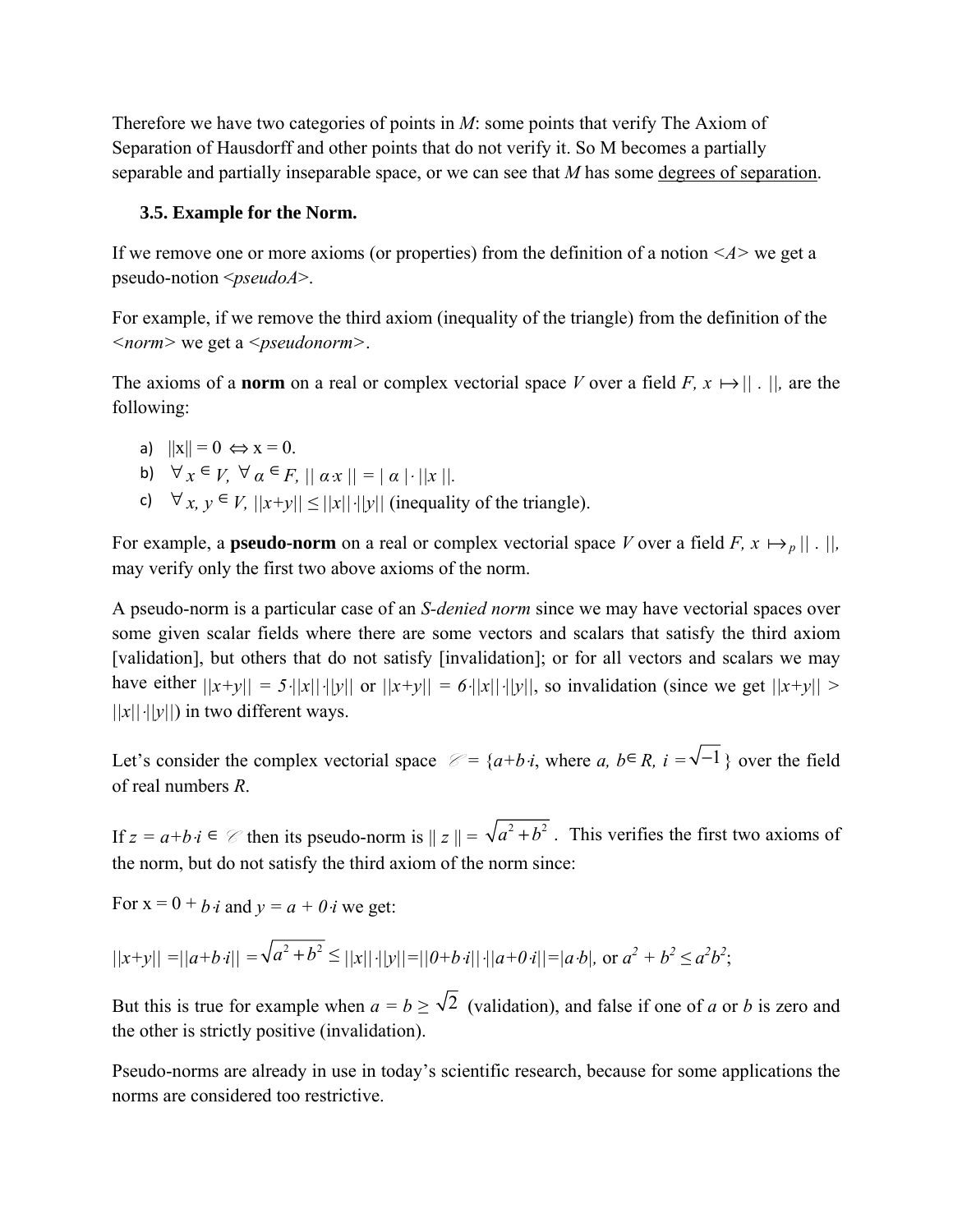Therefore we have two categories of points in *M*: some points that verify The Axiom of Separation of Hausdorff and other points that do not verify it. So M becomes a partially separable and partially inseparable space, or we can see that *M* has some degrees of separation.

#### **3.5. Example for the Norm.**

If we remove one or more axioms (or properties) from the definition of a notion *<A>* we get a pseudo-notion <*pseudoA*>.

For example, if we remove the third axiom (inequality of the triangle) from the definition of the *<norm>* we get a *<pseudonorm>*.

The axioms of a **norm** on a real or complex vectorial space *V* over a field *F*,  $x \mapsto ||$ .  $||$ , are the following:

- a)  $||x|| = 0 \Leftrightarrow x = 0.$
- b)  $\forall x \in V, \forall \alpha \in F, ||\alpha x|| = |\alpha| \cdot ||x||.$
- c)  $\forall x, y \in V, ||x+y|| \leq ||x|| \cdot ||y||$  (inequality of the triangle).

For example, a **pseudo-norm** on a real or complex vectorial space *V* over a field *F*,  $x \mapsto p ||$ .  $||$ , may verify only the first two above axioms of the norm.

A pseudo-norm is a particular case of an *S-denied norm* since we may have vectorial spaces over some given scalar fields where there are some vectors and scalars that satisfy the third axiom [validation], but others that do not satisfy [invalidation]; or for all vectors and scalars we may have either  $||x+y|| = 5 \cdot ||x|| \cdot ||y||$  or  $||x+y|| = 6 \cdot ||x|| \cdot ||y||$ , so invalidation (since we get  $||x+y|| > 0$ *||x||*⋅*||y||*) in two different ways.

Let's consider the complex vectorial space  $\mathcal{C} = \{a+b \cdot i, \text{ where } a, b \in R, i = \sqrt{-1}\}\$  over the field of real numbers *R*.

If  $z = a+b \cdot i \in \mathcal{C}$  then its pseudo-norm is  $||z|| = \sqrt{a^2 + b^2}$ . This verifies the first two axioms of the norm, but do not satisfy the third axiom of the norm since:

For  $x = 0 + b \cdot i$  and  $y = a + 0 \cdot i$  we get:

$$
||x+y|| = ||a+b \cdot i|| = \sqrt{a^2 + b^2} \le ||x|| \cdot ||y|| = ||0+b \cdot i|| \cdot ||a+0 \cdot i|| = |a \cdot b|, \text{ or } a^2 + b^2 \le a^2b^2;
$$

But this is true for example when  $a = b \ge \sqrt{2}$  (validation), and false if one of *a* or *b* is zero and the other is strictly positive (invalidation).

Pseudo-norms are already in use in today's scientific research, because for some applications the norms are considered too restrictive.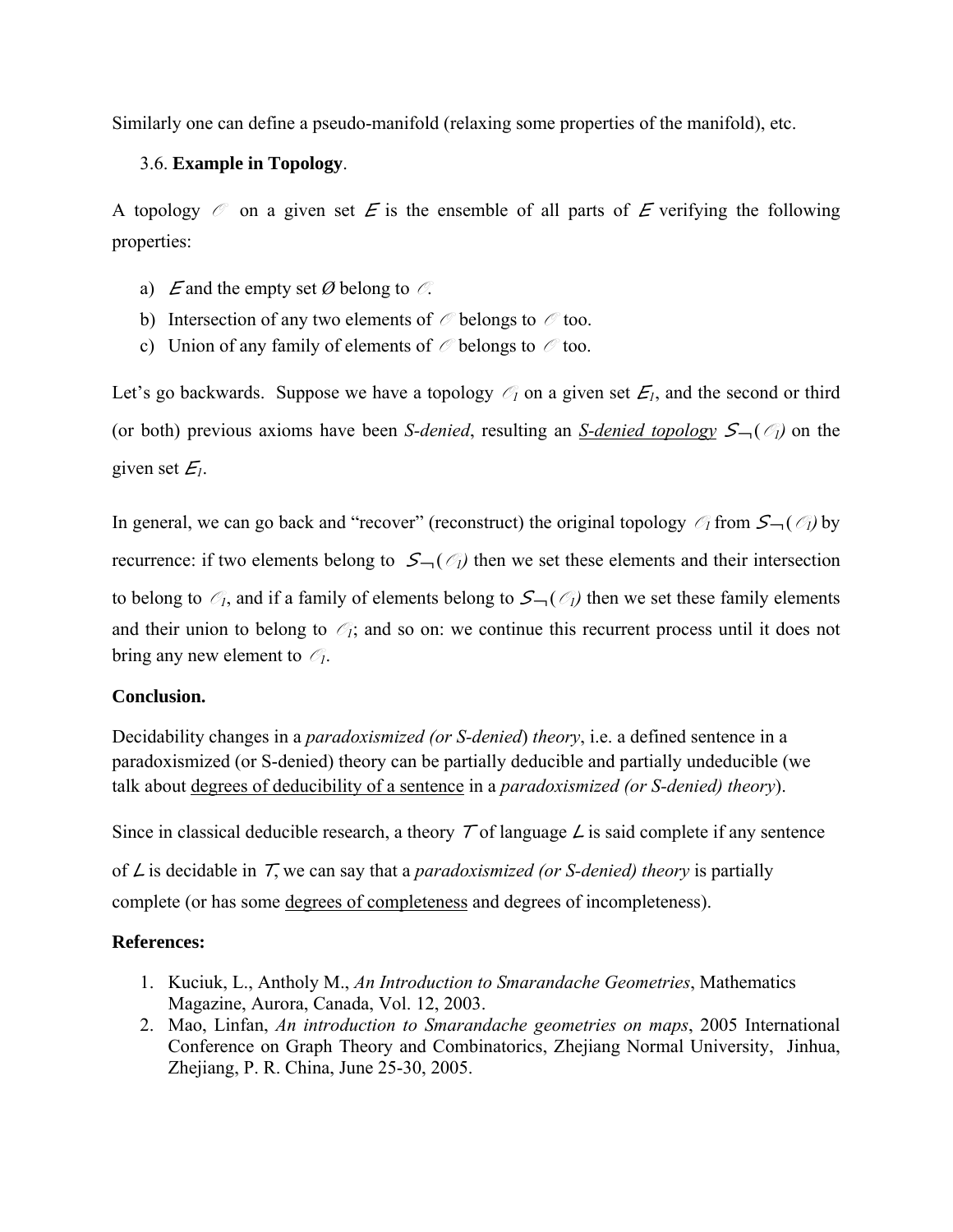Similarly one can define a pseudo-manifold (relaxing some properties of the manifold), etc.

## 3.6. **Example in Topology**.

A topology  $\mathscr O$  on a given set E is the ensemble of all parts of E verifying the following properties:

- a) E and the empty set  $\emptyset$  belong to  $\mathcal{O}$ .
- b) Intersection of any two elements of  $\mathcal O$  belongs to  $\mathcal O$  too.
- c) Union of any family of elements of  $\mathcal O$  belongs to  $\mathcal O$  too.

Let's go backwards. Suppose we have a topology  $\mathcal{O}_1$  on a given set  $\mathcal{E}_1$ , and the second or third (or both) previous axioms have been *S-denied*, resulting an *S-denied topology*  $S<sub>1</sub>(\mathcal{O}<sub>1</sub>)$  on the given set  $E_I$ .

In general, we can go back and "recover" (reconstruct) the original topology  $\mathcal{O}_1$  from  $\mathcal{S}$   $\rightarrow$  ( $\mathcal{O}_1$ ) by recurrence: if two elements belong to  $S_{\neg}(\mathcal{O}_l)$  then we set these elements and their intersection to belong to  $\mathcal{O}_1$ , and if a family of elements belong to  $S_{\neg}(\mathcal{O}_1)$  then we set these family elements and their union to belong to  $\mathcal{O}_1$ ; and so on: we continue this recurrent process until it does not bring any new element to  $\mathcal{O}_1$ .

### **Conclusion.**

Decidability changes in a *paradoxismized (or S-denied*) *theory*, i.e. a defined sentence in a paradoxismized (or S-denied) theory can be partially deducible and partially undeducible (we talk about degrees of deducibility of a sentence in a *paradoxismized (or S-denied) theory*).

Since in classical deducible research, a theory  $\tau$  of language  $\angle$  is said complete if any sentence of L is decidable in T, we can say that a *paradoxismized (or S-denied) theory* is partially complete (or has some degrees of completeness and degrees of incompleteness).

## **References:**

- 1. Kuciuk, L., Antholy M., *An Introduction to Smarandache Geometries*, Mathematics Magazine, Aurora, Canada, Vol. 12, 2003.
- 2. Mao, Linfan, *An introduction to Smarandache geometries on maps*, 2005 International Conference on Graph Theory and Combinatorics, Zhejiang Normal University, Jinhua, Zhejiang, P. R. China, June 25-30, 2005.